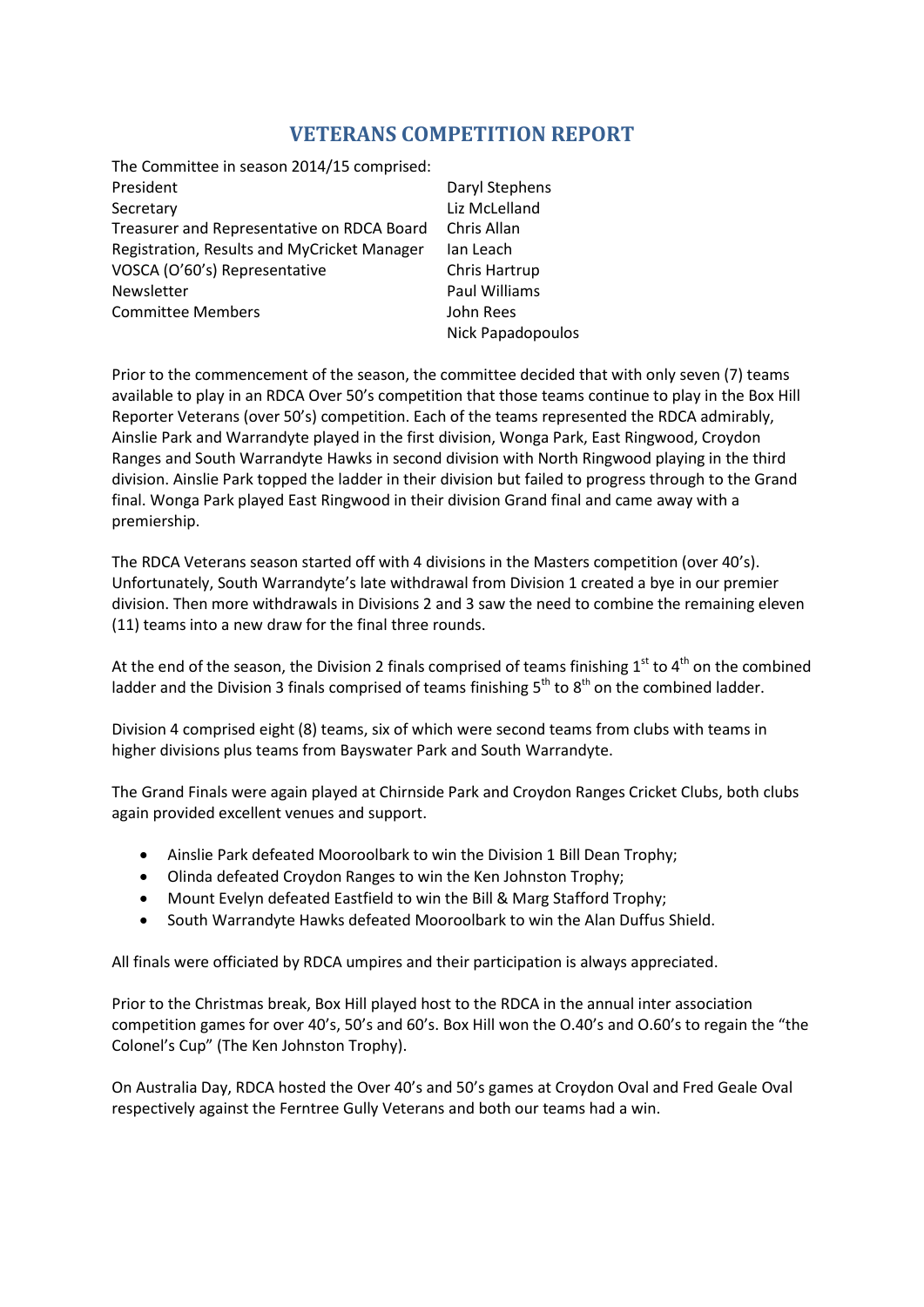## **VETERANS COMPETITION REPORT**

| The Committee in season 2014/15 comprised:  |                      |
|---------------------------------------------|----------------------|
| President                                   | Daryl Stephens       |
| Secretary                                   | Liz McLelland        |
| Treasurer and Representative on RDCA Board  | Chris Allan          |
| Registration, Results and MyCricket Manager | Ian Leach            |
| VOSCA (O'60's) Representative               | Chris Hartrup        |
| Newsletter                                  | <b>Paul Williams</b> |
| <b>Committee Members</b>                    | John Rees            |
|                                             | Nick Papadopoulos    |

Prior to the commencement of the season, the committee decided that with only seven (7) teams available to play in an RDCA Over 50's competition that those teams continue to play in the Box Hill Reporter Veterans (over 50's) competition. Each of the teams represented the RDCA admirably, Ainslie Park and Warrandyte played in the first division, Wonga Park, East Ringwood, Croydon Ranges and South Warrandyte Hawks in second division with North Ringwood playing in the third division. Ainslie Park topped the ladder in their division but failed to progress through to the Grand final. Wonga Park played East Ringwood in their division Grand final and came away with a premiership.

The RDCA Veterans season started off with 4 divisions in the Masters competition (over 40's). Unfortunately, South Warrandyte's late withdrawal from Division 1 created a bye in our premier division. Then more withdrawals in Divisions 2 and 3 saw the need to combine the remaining eleven (11) teams into a new draw for the final three rounds.

At the end of the season, the Division 2 finals comprised of teams finishing  $1<sup>st</sup>$  to  $4<sup>th</sup>$  on the combined ladder and the Division 3 finals comprised of teams finishing  $5<sup>th</sup>$  to  $8<sup>th</sup>$  on the combined ladder.

Division 4 comprised eight (8) teams, six of which were second teams from clubs with teams in higher divisions plus teams from Bayswater Park and South Warrandyte.

The Grand Finals were again played at Chirnside Park and Croydon Ranges Cricket Clubs, both clubs again provided excellent venues and support.

- Ainslie Park defeated Mooroolbark to win the Division 1 Bill Dean Trophy;
- Olinda defeated Croydon Ranges to win the Ken Johnston Trophy;
- Mount Evelyn defeated Eastfield to win the Bill & Marg Stafford Trophy;
- South Warrandyte Hawks defeated Mooroolbark to win the Alan Duffus Shield.

All finals were officiated by RDCA umpires and their participation is always appreciated.

Prior to the Christmas break, Box Hill played host to the RDCA in the annual inter association competition games for over 40's, 50's and 60's. Box Hill won the O.40's and O.60's to regain the "the Colonel's Cup" (The Ken Johnston Trophy).

On Australia Day, RDCA hosted the Over 40's and 50's games at Croydon Oval and Fred Geale Oval respectively against the Ferntree Gully Veterans and both our teams had a win.